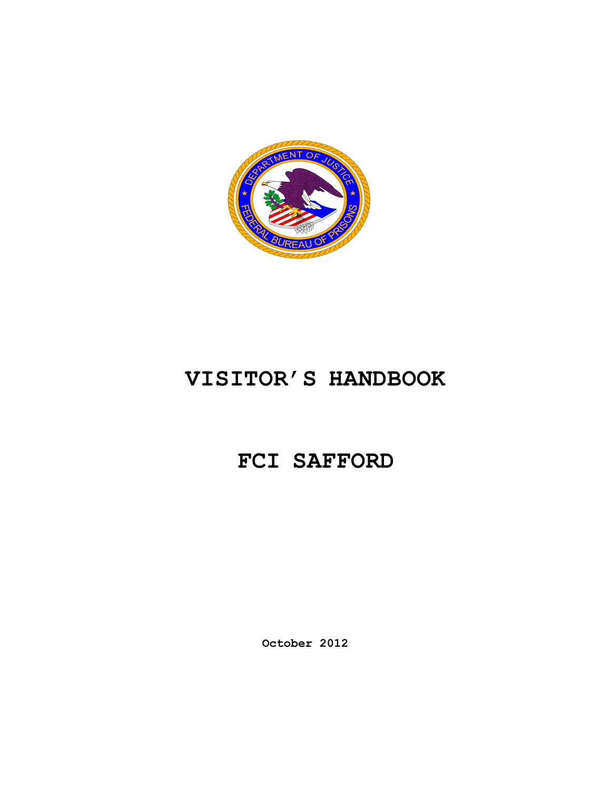

# **VISITOR'S HANDBOOK**

# **FCI SAFFORD**

**October 2012**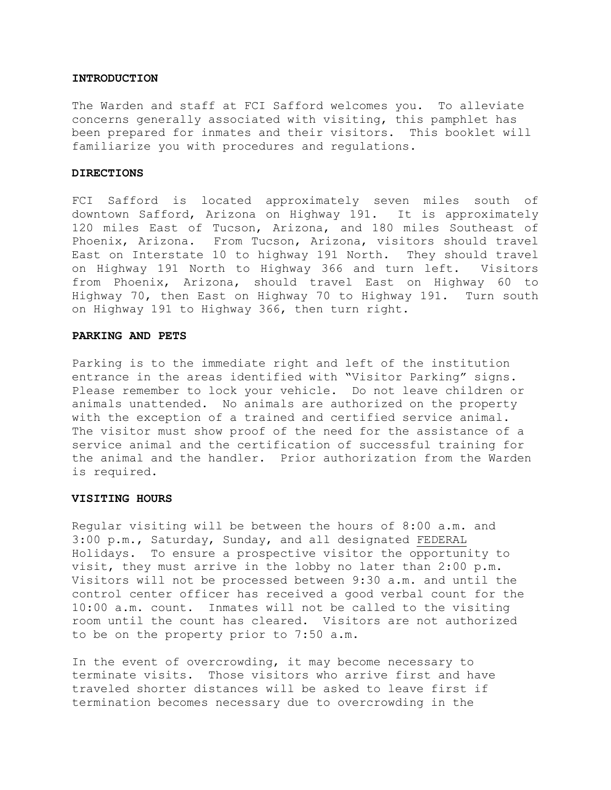#### **INTRODUCTION**

The Warden and staff at FCI Safford welcomes you. To alleviate concerns generally associated with visiting, this pamphlet has been prepared for inmates and their visitors. This booklet will familiarize you with procedures and regulations.

#### **DIRECTIONS**

FCI Safford is located approximately seven miles south of downtown Safford, Arizona on Highway 191. It is approximately 120 miles East of Tucson, Arizona, and 180 miles Southeast of Phoenix, Arizona. From Tucson, Arizona, visitors should travel East on Interstate 10 to highway 191 North. They should travel on Highway 191 North to Highway 366 and turn left. Visitors from Phoenix, Arizona, should travel East on Highway 60 to Highway 70, then East on Highway 70 to Highway 191. Turn south on Highway 191 to Highway 366, then turn right.

### **PARKING AND PETS**

Parking is to the immediate right and left of the institution entrance in the areas identified with "Visitor Parking" signs. Please remember to lock your vehicle. Do not leave children or animals unattended. No animals are authorized on the property with the exception of a trained and certified service animal. The visitor must show proof of the need for the assistance of a service animal and the certification of successful training for the animal and the handler. Prior authorization from the Warden is required.

#### **VISITING HOURS**

Regular visiting will be between the hours of 8:00 a.m. and 3:00 p.m., Saturday, Sunday, and all designated FEDERAL Holidays. To ensure a prospective visitor the opportunity to visit, they must arrive in the lobby no later than 2:00 p.m. Visitors will not be processed between 9:30 a.m. and until the control center officer has received a good verbal count for the 10:00 a.m. count. Inmates will not be called to the visiting room until the count has cleared. Visitors are not authorized to be on the property prior to 7:50 a.m.

In the event of overcrowding, it may become necessary to terminate visits. Those visitors who arrive first and have traveled shorter distances will be asked to leave first if termination becomes necessary due to overcrowding in the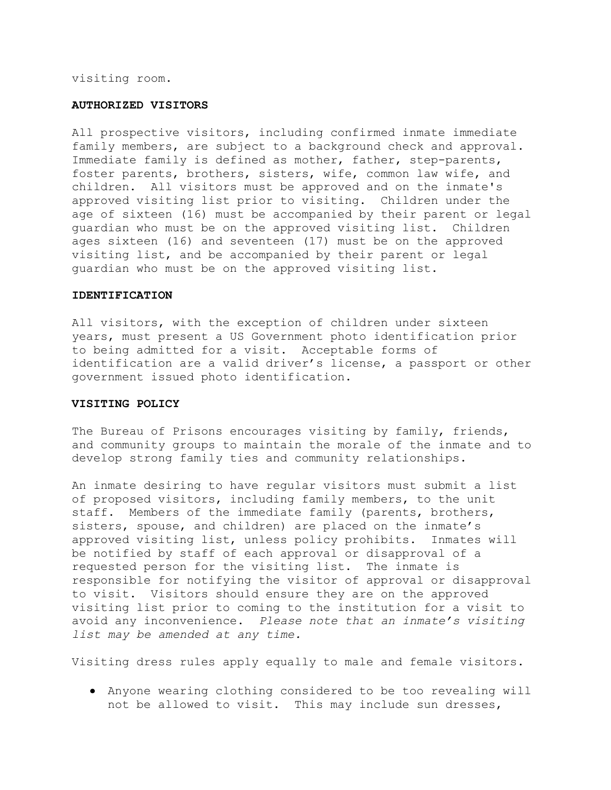visiting room.

#### **AUTHORIZED VISITORS**

All prospective visitors, including confirmed inmate immediate family members, are subject to a background check and approval. Immediate family is defined as mother, father, step-parents, foster parents, brothers, sisters, wife, common law wife, and children. All visitors must be approved and on the inmate's approved visiting list prior to visiting. Children under the age of sixteen (16) must be accompanied by their parent or legal guardian who must be on the approved visiting list. Children ages sixteen (16) and seventeen (17) must be on the approved visiting list, and be accompanied by their parent or legal guardian who must be on the approved visiting list.

#### **IDENTIFICATION**

All visitors, with the exception of children under sixteen years, must present a US Government photo identification prior to being admitted for a visit. Acceptable forms of identification are a valid driver's license, a passport or other government issued photo identification.

#### **VISITING POLICY**

The Bureau of Prisons encourages visiting by family, friends, and community groups to maintain the morale of the inmate and to develop strong family ties and community relationships.

An inmate desiring to have regular visitors must submit a list of proposed visitors, including family members, to the unit staff. Members of the immediate family (parents, brothers, sisters, spouse, and children) are placed on the inmate's approved visiting list, unless policy prohibits. Inmates will be notified by staff of each approval or disapproval of a requested person for the visiting list. The inmate is responsible for notifying the visitor of approval or disapproval to visit. Visitors should ensure they are on the approved visiting list prior to coming to the institution for a visit to avoid any inconvenience. *Please note that an inmate's visiting list may be amended at any time.* 

Visiting dress rules apply equally to male and female visitors.

Anyone wearing clothing considered to be too revealing will not be allowed to visit. This may include sun dresses,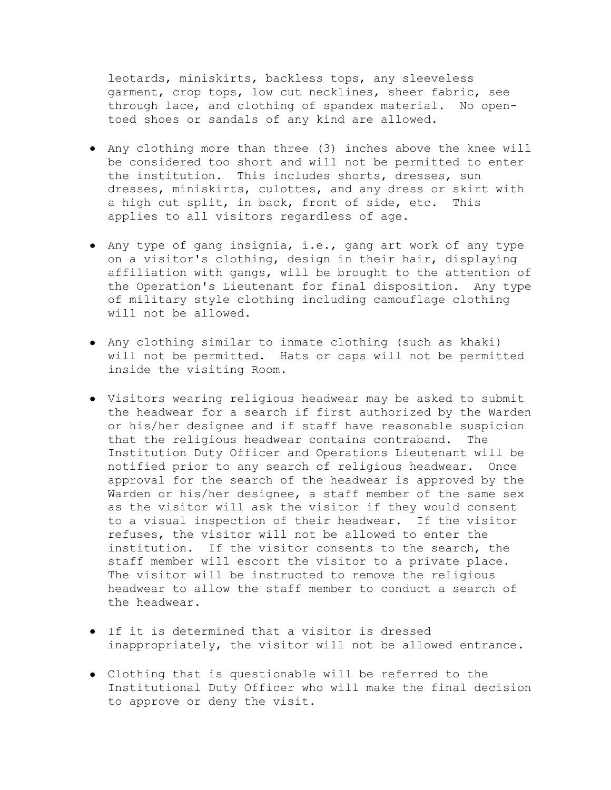leotards, miniskirts, backless tops, any sleeveless garment, crop tops, low cut necklines, sheer fabric, see through lace, and clothing of spandex material. No opentoed shoes or sandals of any kind are allowed.

- Any clothing more than three (3) inches above the knee will be considered too short and will not be permitted to enter the institution. This includes shorts, dresses, sun dresses, miniskirts, culottes, and any dress or skirt with a high cut split, in back, front of side, etc. This applies to all visitors regardless of age.
- Any type of gang insignia, i.e., gang art work of any type on a visitor's clothing, design in their hair, displaying affiliation with gangs, will be brought to the attention of the Operation's Lieutenant for final disposition. Any type of military style clothing including camouflage clothing will not be allowed.
- Any clothing similar to inmate clothing (such as khaki) will not be permitted. Hats or caps will not be permitted inside the visiting Room.
- Visitors wearing religious headwear may be asked to submit the headwear for a search if first authorized by the Warden or his/her designee and if staff have reasonable suspicion that the religious headwear contains contraband. The Institution Duty Officer and Operations Lieutenant will be notified prior to any search of religious headwear. Once approval for the search of the headwear is approved by the Warden or his/her designee, a staff member of the same sex as the visitor will ask the visitor if they would consent to a visual inspection of their headwear. If the visitor refuses, the visitor will not be allowed to enter the institution. If the visitor consents to the search, the staff member will escort the visitor to a private place. The visitor will be instructed to remove the religious headwear to allow the staff member to conduct a search of the headwear.
- If it is determined that a visitor is dressed inappropriately, the visitor will not be allowed entrance.
- Clothing that is questionable will be referred to the Institutional Duty Officer who will make the final decision to approve or deny the visit.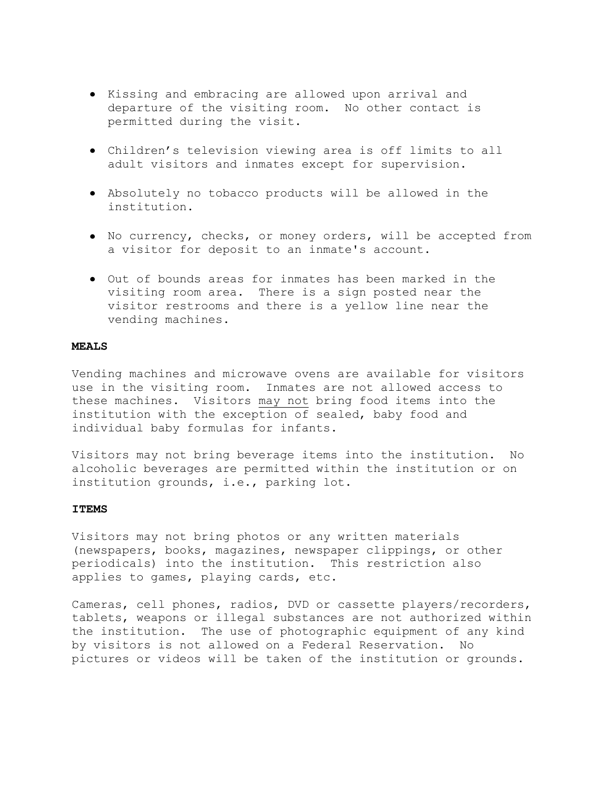- Kissing and embracing are allowed upon arrival and departure of the visiting room. No other contact is permitted during the visit.
- Children's television viewing area is off limits to all adult visitors and inmates except for supervision.
- Absolutely no tobacco products will be allowed in the institution.
- No currency, checks, or money orders, will be accepted from a visitor for deposit to an inmate's account.
- Out of bounds areas for inmates has been marked in the visiting room area. There is a sign posted near the visitor restrooms and there is a yellow line near the vending machines.

## **MEALS**

Vending machines and microwave ovens are available for visitors use in the visiting room. Inmates are not allowed access to these machines. Visitors may not bring food items into the institution with the exception of sealed, baby food and individual baby formulas for infants.

Visitors may not bring beverage items into the institution. No alcoholic beverages are permitted within the institution or on institution grounds, i.e., parking lot.

### **ITEMS**

Visitors may not bring photos or any written materials (newspapers, books, magazines, newspaper clippings, or other periodicals) into the institution. This restriction also applies to games, playing cards, etc.

Cameras, cell phones, radios, DVD or cassette players/recorders, tablets, weapons or illegal substances are not authorized within the institution. The use of photographic equipment of any kind by visitors is not allowed on a Federal Reservation. No pictures or videos will be taken of the institution or grounds.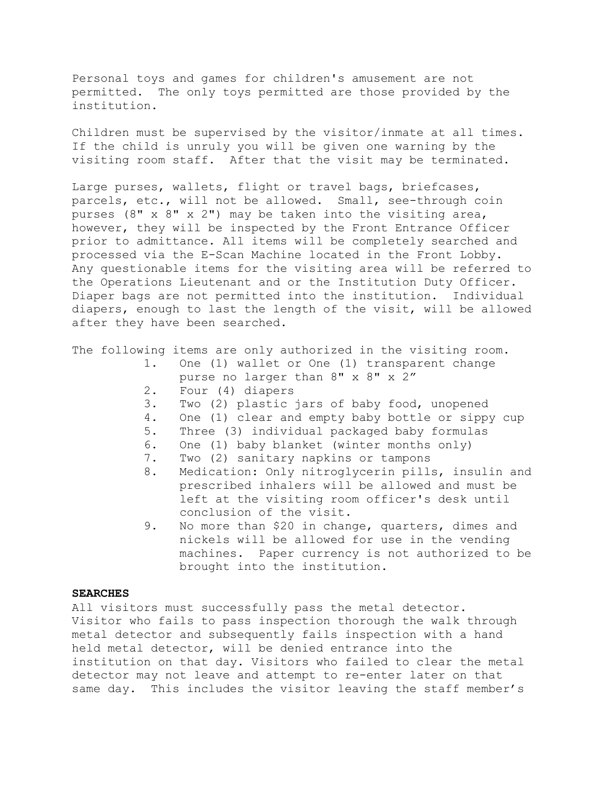Personal toys and games for children's amusement are not permitted. The only toys permitted are those provided by the institution.

Children must be supervised by the visitor/inmate at all times. If the child is unruly you will be given one warning by the visiting room staff. After that the visit may be terminated.

Large purses, wallets, flight or travel bags, briefcases, parcels, etc., will not be allowed. Small, see-through coin purses (8" x 8" x 2") may be taken into the visiting area, however, they will be inspected by the Front Entrance Officer prior to admittance. All items will be completely searched and processed via the E-Scan Machine located in the Front Lobby. Any questionable items for the visiting area will be referred to the Operations Lieutenant and or the Institution Duty Officer. Diaper bags are not permitted into the institution. Individual diapers, enough to last the length of the visit, will be allowed after they have been searched.

The following items are only authorized in the visiting room.

- 1. One (1) wallet or One (1) transparent change purse no larger than 8" x 8" x 2"
- 2. Four (4) diapers
- 3. Two (2) plastic jars of baby food, unopened
- 4. One (1) clear and empty baby bottle or sippy cup
- 5. Three (3) individual packaged baby formulas
- 6. One (1) baby blanket (winter months only)
- 7. Two (2) sanitary napkins or tampons
- 8. Medication: Only nitroglycerin pills, insulin and prescribed inhalers will be allowed and must be left at the visiting room officer's desk until conclusion of the visit.
- 9. No more than \$20 in change, quarters, dimes and nickels will be allowed for use in the vending machines. Paper currency is not authorized to be brought into the institution.

### **SEARCHES**

All visitors must successfully pass the metal detector. Visitor who fails to pass inspection thorough the walk through metal detector and subsequently fails inspection with a hand held metal detector, will be denied entrance into the institution on that day. Visitors who failed to clear the metal detector may not leave and attempt to re-enter later on that same day. This includes the visitor leaving the staff member's